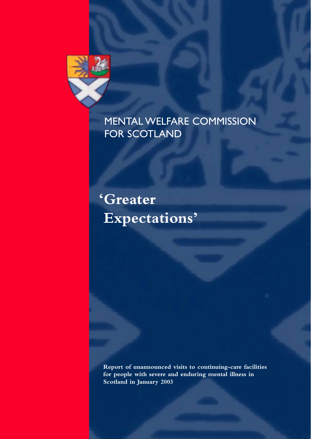

### MENTAL WELFARE COMMISSION FOR SCOTLAND

**'Greater Expectations'**

**Report of unannounced visits to continuing-care facilities for people with severe and enduring mental illness in Scotland in January 2003**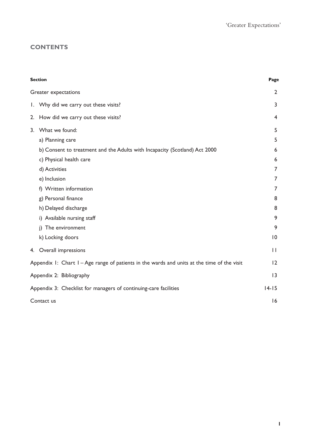### **CONTENTS**

| <b>Section</b>                                                                                |                                                                               |                |  |  |  |  |
|-----------------------------------------------------------------------------------------------|-------------------------------------------------------------------------------|----------------|--|--|--|--|
| Greater expectations                                                                          |                                                                               |                |  |  |  |  |
|                                                                                               | I. Why did we carry out these visits?                                         | 3              |  |  |  |  |
| 2.                                                                                            | How did we carry out these visits?                                            | 4              |  |  |  |  |
| 3.                                                                                            | What we found:                                                                | 5              |  |  |  |  |
|                                                                                               | a) Planning care                                                              | 5              |  |  |  |  |
|                                                                                               | b) Consent to treatment and the Adults with Incapacity (Scotland) Act 2000    | 6              |  |  |  |  |
|                                                                                               | c) Physical health care                                                       | 6              |  |  |  |  |
|                                                                                               | d) Activities                                                                 | 7              |  |  |  |  |
|                                                                                               | e) Inclusion                                                                  | 7              |  |  |  |  |
|                                                                                               | f) Written information                                                        | 7              |  |  |  |  |
|                                                                                               | g) Personal finance                                                           | 8              |  |  |  |  |
|                                                                                               | h) Delayed discharge                                                          | 8              |  |  |  |  |
|                                                                                               | i) Available nursing staff                                                    | 9              |  |  |  |  |
|                                                                                               | j) The environment                                                            | 9              |  |  |  |  |
|                                                                                               | k) Locking doors                                                              | $\overline{0}$ |  |  |  |  |
|                                                                                               | 4. Overall impressions                                                        | $\mathbf{L}$   |  |  |  |  |
| Appendix 1: Chart $I - Age$ range of patients in the wards and units at the time of the visit |                                                                               |                |  |  |  |  |
| Appendix 2: Bibliography                                                                      |                                                                               |                |  |  |  |  |
|                                                                                               | $14 - 15$<br>Appendix 3: Checklist for managers of continuing-care facilities |                |  |  |  |  |
|                                                                                               | 16<br>Contact us                                                              |                |  |  |  |  |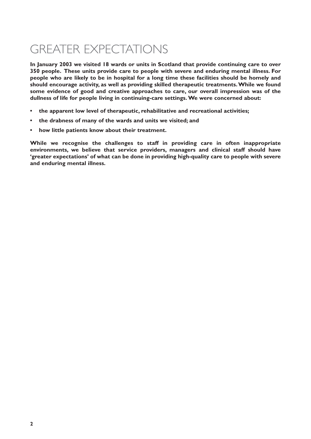### GREATER EXPECTATIONS

**In January 2003 we visited 18 wards or units in Scotland that provide continuing care to over 350 people. These units provide care to people with severe and enduring mental illness. For people who are likely to be in hospital for a long time these facilities should be homely and should encourage activity, as well as providing skilled therapeutic treatments.While we found some evidence of good and creative approaches to care, our overall impression was of the dullness of life for people living in continuing-care settings. We were concerned about:**

- **the apparent low level of therapeutic, rehabilitative and recreational activities;**
- **the drabness of many of the wards and units we visited; and**
- **how little patients know about their treatment.**

**While we recognise the challenges to staff in providing care in often inappropriate environments, we believe that service providers, managers and clinical staff should have 'greater expectations' of what can be done in providing high-quality care to people with severe and enduring mental illness.**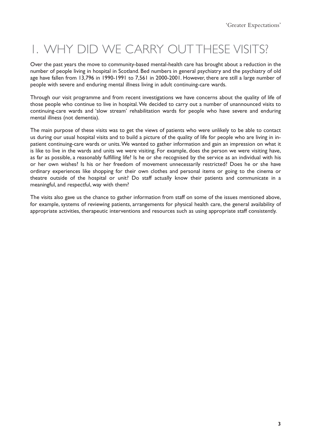## 1. WHY DID WE CARRY OUT THESE VISITS?

Over the past years the move to community-based mental-health care has brought about a reduction in the number of people living in hospital in Scotland. Bed numbers in general psychiatry and the psychiatry of old age have fallen from 13,796 in 1990-1991 to 7,561 in 2000-2001. However, there are still a large number of people with severe and enduring mental illness living in adult continuing-care wards.

Through our visit programme and from recent investigations we have concerns about the quality of life of those people who continue to live in hospital. We decided to carry out a number of unannounced visits to continuing-care wards and 'slow stream' rehabilitation wards for people who have severe and enduring mental illness (not dementia).

The main purpose of these visits was to get the views of patients who were unlikely to be able to contact us during our usual hospital visits and to build a picture of the quality of life for people who are living in inpatient continuing-care wards or units.We wanted to gather information and gain an impression on what it is like to live in the wards and units we were visiting. For example, does the person we were visiting have, as far as possible, a reasonably fulfilling life? Is he or she recognised by the service as an individual with his or her own wishes? Is his or her freedom of movement unnecessarily restricted? Does he or she have ordinary experiences like shopping for their own clothes and personal items or going to the cinema or theatre outside of the hospital or unit? Do staff actually know their patients and communicate in a meaningful, and respectful, way with them?

The visits also gave us the chance to gather information from staff on some of the issues mentioned above, for example, systems of reviewing patients, arrangements for physical health care, the general availability of appropriate activities, therapeutic interventions and resources such as using appropriate staff consistently.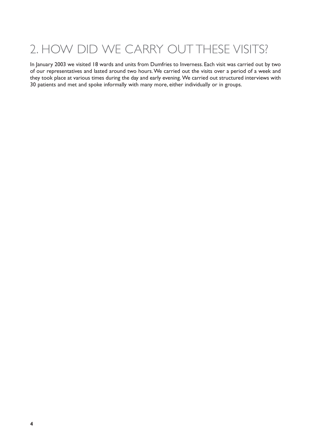## 2. HOW DID WE CARRY OUT THESE VISITS?

In January 2003 we visited 18 wards and units from Dumfries to Inverness. Each visit was carried out by two of our representatives and lasted around two hours.We carried out the visits over a period of a week and they took place at various times during the day and early evening. We carried out structured interviews with 30 patients and met and spoke informally with many more, either individually or in groups.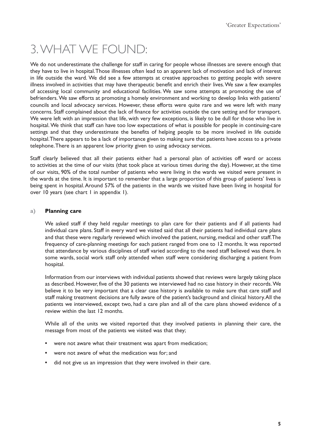### 3.WHAT WE FOUND:

We do not underestimate the challenge for staff in caring for people whose illnesses are severe enough that they have to live in hospital.Those illnesses often lead to an apparent lack of motivation and lack of interest in life outside the ward. We did see a few attempts at creative approaches to getting people with severe illness involved in activities that may have therapeutic benefit and enrich their lives.We saw a few examples of accessing local community and educational facilities. We saw some attempts at promoting the use of befrienders. We saw efforts at promoting a homely environment and working to develop links with patients' councils and local advocacy services. However, these efforts were quite rare and we were left with many concerns. Staff complained about the lack of finance for activities outside the care setting and for transport. We were left with an impression that life, with very few exceptions, is likely to be dull for those who live in hospital. We think that staff can have too low expectations of what is possible for people in continuing-care settings and that they underestimate the benefits of helping people to be more involved in life outside hospital.There appears to be a lack of importance given to making sure that patients have access to a private telephone.There is an apparent low priority given to using advocacy services.

Staff clearly believed that all their patients either had a personal plan of activities off ward or access to activities at the time of our visits (that took place at various times during the day). However, at the time of our visits, 90% of the total number of patients who were living in the wards we visited were present in the wards at the time. It is important to remember that a large proportion of this group of patients' lives is being spent in hospital.Around 57% of the patients in the wards we visited have been living in hospital for over 10 years (see chart I in appendix I).

#### **a) Planning care**

We asked staff if they held regular meetings to plan care for their patients and if all patients had individual care plans. Staff in every ward we visited said that all their patients had individual care plans and that these were regularly reviewed which involved the patient, nursing, medical and other staff.The frequency of care-planning meetings for each patient ranged from one to 12 months. It was reported that attendance by various disciplines of staff varied according to the need staff believed was there. In some wards, social work staff only attended when staff were considering discharging a patient from hospital.

Information from our interviews with individual patients showed that reviews were largely taking place as described. However, five of the 30 patients we interviewed had no case history in their records. We believe it to be very important that a clear case history is available to make sure that care staff and staff making treatment decisions are fully aware of the patient's background and clinical history.All the patients we interviewed, except two, had a care plan and all of the care plans showed evidence of a review within the last 12 months.

While all of the units we visited reported that they involved patients in planning their care, the message from most of the patients we visited was that they;

- were not aware what their treatment was apart from medication;
- were not aware of what the medication was for; and
- did not give us an impression that they were involved in their care.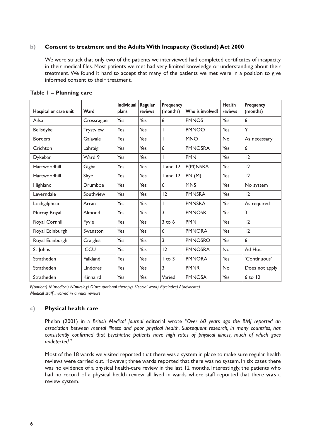#### **b) Consent to treatment and the Adults With Incapacity (Scotland) Act 2000**

We were struck that only two of the patients we interviewed had completed certificates of incapacity in their medical files. Most patients we met had very limited knowledge or understanding about their treatment. We found it hard to accept that many of the patients we met were in a position to give informed consent to their treatment.

| Hospital or care unit | Ward             | <b>Individual</b><br>plans | Regular<br>reviews | Frequency<br>(months) | Who is involved? | Health<br>reviews | <b>Frequency</b><br>(months) |
|-----------------------|------------------|----------------------------|--------------------|-----------------------|------------------|-------------------|------------------------------|
| Ailsa                 | Crossraguel      | Yes                        | Yes                | 6                     | <b>PMNOS</b>     | Yes               | 6                            |
| Bellsdyke             | <b>Trystview</b> | Yes                        | Yes                |                       | <b>PMNOO</b>     | Yes               | Y                            |
| <b>Borders</b>        | Galavale         | Yes                        | Yes                |                       | <b>MNO</b>       | No                | As necessary                 |
| Crichton              | Lahraig          | Yes                        | Yes                | 6                     | <b>PMNOSRA</b>   | Yes               | 6                            |
| Dykebar               | Ward 9           | Yes                        | Yes                | I                     | <b>PMN</b>       | Yes               | 12                           |
| Hartwoodhill          | Gigha            | Yes                        | Yes                | I and 12              | P(M)NSRA         | Yes               | 12                           |
| Hartwoodhill          | Skye             | Yes                        | Yes                | $1$ and $12$          | PN (M)           | Yes               | 12                           |
| Highland              | Drumboe          | Yes                        | Yes                | 6                     | <b>MNS</b>       | Yes               | No system                    |
| Leverndale            | Southview        | Yes                        | Yes                | 12                    | <b>PMNSRA</b>    | Yes               | 12                           |
| Lochgilphead          | Arran            | Yes                        | Yes                |                       | <b>PMNSRA</b>    | Yes               | As required                  |
| Murray Royal          | Almond           | Yes                        | Yes                | 3                     | <b>PMNOSR</b>    | Yes               | 3                            |
| Royal Cornhill        | Fyvie            | Yes                        | Yes                | $3$ to $6$            | <b>PMN</b>       | Yes               | 12                           |
| Royal Edinburgh       | Swanston         | Yes                        | Yes                | 6                     | <b>PMNORA</b>    | Yes               | 12                           |
| Royal Edinburgh       | Craiglea         | Yes                        | Yes                | 3                     | <b>PMNOSRO</b>   | Yes               | 6                            |
| St Johns              | <b>ICCU</b>      | Yes                        | Yes                | 12                    | <b>PMNOSRA</b>   | No                | Ad Hoc                       |
| Stratheden            | Falkland         | Yes                        | Yes                | $ $ to 3              | <b>PMNORA</b>    | Yes               | 'Continuous'                 |
| Stratheden            | Lindores         | Yes                        | Yes                | 3                     | <b>PMNR</b>      | No                | Does not apply               |
| Stratheden            | Kinnaird         | Yes                        | Yes                | Varied                | <b>PMNOSA</b>    | Yes               | $6$ to $12$                  |

**Table 1 – Planning care**

*P(patient) M(medical) N(nursing) O(occupational therapy) S(social work) R(relative) A(advocate) Medical staff involved in annual reviews*

#### **c) Physical health care**

Phelan (2001) in a *British Medical Journal* editorial wrote *"Over 60 years ago the BMJ reported an association between mental illness and poor physical health. Subsequent research, in many countries, has consistently confirmed that psychiatric patients have high rates of physical illness, much of which goes undetected."*

Most of the 18 wards we visited reported that there was a system in place to make sure regular health reviews were carried out. However, three wards reported that there was no system. In six cases there was no evidence of a physical health-care review in the last 12 months. Interestingly, the patients who had no record of a physical health review all lived in wards where staff reported that there **was** a review system.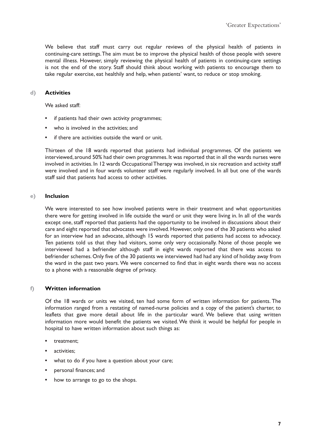We believe that staff must carry out regular reviews of the physical health of patients in continuing-care settings.The aim must be to improve the physical health of those people with severe mental illness. However, simply reviewing the physical health of patients in continuing-care settings is not the end of the story. Staff should think about working with patients to encourage them to take regular exercise, eat healthily and help, when patients' want, to reduce or stop smoking.

#### **d) Activities**

We asked staff:

- if patients had their own activity programmes;
- who is involved in the activities; and
- if there are activities outside the ward or unit.

Thirteen of the 18 wards reported that patients had individual programmes. Of the patients we interviewed, around 50% had their own programmes. It was reported that in all the wards nurses were involved in activities. In 12 wards Occupational Therapy was involved, in six recreation and activity staff were involved and in four wards volunteer staff were regularly involved. In all but one of the wards staff said that patients had access to other activities.

#### **e) Inclusion**

We were interested to see how involved patients were in their treatment and what opportunities there were for getting involved in life outside the ward or unit they were living in. In all of the wards except one, staff reported that patients had the opportunity to be involved in discussions about their care and eight reported that advocates were involved. However, only one of the 30 patients who asked for an interview had an advocate, although 15 wards reported that patients had access to advocacy. Ten patients told us that they had visitors, some only very occasionally. None of those people we interviewed had a befriender although staff in eight wards reported that there was access to befriender schemes. Only five of the 30 patients we interviewed had had any kind of holiday away from the ward in the past two years. We were concerned to find that in eight wards there was no access to a phone with a reasonable degree of privacy.

#### **f) Written information**

Of the 18 wards or units we visited, ten had some form of written information for patients. The information ranged from a restating of named-nurse policies and a copy of the patient's charter, to leaflets that gave more detail about life in the particular ward. We believe that using written information more would benefit the patients we visited. We think it would be helpful for people in hospital to have written information about such things as:

- treatment;
- activities;
- what to do if you have a question about your care;
- personal finances; and
- how to arrange to go to the shops.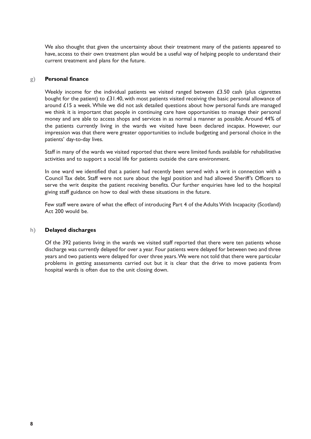We also thought that given the uncertainty about their treatment many of the patients appeared to have, access to their own treatment plan would be a useful way of helping people to understand their current treatment and plans for the future.

#### **g) Personal finance**

Weekly income for the individual patients we visited ranged between £3.50 cash (plus cigarettes bought for the patient) to £31.40, with most patients visited receiving the basic personal allowance of around £15 a week. While we did not ask detailed questions about how personal funds are managed we think it is important that people in continuing care have opportunities to manage their personal money and are able to access shops and services in as normal a manner as possible.Around 44% of the patients currently living in the wards we visited have been declared incapax. However, our impression was that there were greater opportunities to include budgeting and personal choice in the patients' day-to-day lives.

Staff in many of the wards we visited reported that there were limited funds available for rehabilitative activities and to support a social life for patients outside the care environment.

In one ward we identified that a patient had recently been served with a writ in connection with a Council Tax debt. Staff were not sure about the legal position and had allowed Sheriff's Officers to serve the writ despite the patient receiving benefits. Our further enquiries have led to the hospital giving staff guidance on how to deal with these situations in the future.

Few staff were aware of what the effect of introducing Part 4 of the Adults With Incapacity (Scotland) Act 200 would be.

#### **h) Delayed discharges**

Of the 392 patients living in the wards we visited staff reported that there were ten patients whose discharge was currently delayed for over a year. Four patients were delayed for between two and three years and two patients were delayed for over three years.We were not told that there were particular problems in getting assessments carried out but it is clear that the drive to move patients from hospital wards is often due to the unit closing down.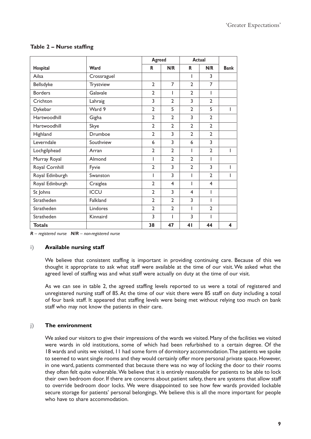|                 |             | <b>Agreed</b>  |                         | <b>Actual</b>  |                |                         |
|-----------------|-------------|----------------|-------------------------|----------------|----------------|-------------------------|
| Hospital        | Ward        | R              | N/R                     | R              | N/R            | <b>Bank</b>             |
| Ailsa           | Crossraguel |                |                         | ı              | 3              |                         |
| Bellsdyke       | Trystview   | $\overline{2}$ | $\overline{7}$          | $\overline{2}$ | $\overline{7}$ |                         |
| <b>Borders</b>  | Galavale    | $\overline{2}$ | ı                       | $\overline{2}$ |                |                         |
| Crichton        | Lahraig     | 3              | $\overline{2}$          | 3              | $\overline{2}$ |                         |
| Dykebar         | Ward 9      | $\overline{2}$ | 5                       | $\overline{2}$ | 5              |                         |
| Hartwoodhill    | Gigha       | $\overline{2}$ | $\overline{2}$          | 3              | $\overline{2}$ |                         |
| Hartwoodhill    | Skye        | $\overline{2}$ | $\overline{2}$          | $\overline{2}$ | $\overline{2}$ |                         |
| Highland        | Drumboe     | $\overline{2}$ | 3                       | $\overline{2}$ | $\overline{2}$ |                         |
| Leverndale      | Southview   | 6              | 3                       | 6              | 3              |                         |
| Lochgilphead    | Arran       | $\overline{2}$ | $\overline{2}$          | I              | $\overline{2}$ | T                       |
| Murray Royal    | Almond      | ı              | $\overline{2}$          | $\overline{2}$ |                |                         |
| Royal Cornhill  | Fyvie       | $\overline{2}$ | 3                       | $\overline{2}$ | $\overline{3}$ | I                       |
| Royal Edinburgh | Swanston    | $\overline{1}$ | 3                       | T              | $\overline{2}$ | I                       |
| Royal Edinburgh | Craiglea    | $\overline{2}$ | $\overline{\mathbf{4}}$ | ı              | 4              |                         |
| St Johns        | <b>ICCU</b> | $\overline{2}$ | 3                       | $\overline{4}$ | ı              |                         |
| Stratheden      | Falkland    | $\overline{2}$ | $\overline{2}$          | 3              |                |                         |
| Stratheden      | Lindores    | $\overline{2}$ | $\overline{2}$          | T              | $\overline{2}$ |                         |
| Stratheden      | Kinnaird    | 3              | ı                       | 3              |                |                         |
| <b>Totals</b>   |             | 38             | 47                      | 41             | 44             | $\overline{\mathbf{4}}$ |

#### **Table 2 – Nurse staffing**

*R – registered nurse N/R – non-registered nurse*

#### **i) Available nursing staff**

We believe that consistent staffing is important in providing continuing care. Because of this we thought it appropriate to ask what staff were available at the time of our visit. We asked what the agreed level of staffing was and what staff were actually on duty at the time of our visit.

As we can see in table 2, the agreed staffing levels reported to us were a total of registered and unregistered nursing staff of 85.At the time of our visit there were 85 staff on duty including a total of four bank staff. It appeared that staffing levels were being met without relying too much on bank staff who may not know the patients in their care.

#### **j) The environment**

We asked our visitors to give their impressions of the wards we visited.Many of the facilities we visited were wards in old institutions, some of which had been refurbished to a certain degree. Of the 18 wards and units we visited, 11 had some form of dormitory accommodation.The patients we spoke to seemed to want single rooms and they would certainly offer more personal private space. However, in one ward, patients commented that because there was no way of locking the door to their rooms they often felt quite vulnerable. We believe that it is entirely reasonable for patients to be able to lock their own bedroom door. If there are concerns about patient safety, there are systems that allow staff to override bedroom door locks. We were disappointed to see how few wards provided lockable secure storage for patients' personal belongings. We believe this is all the more important for people who have to share accommodation.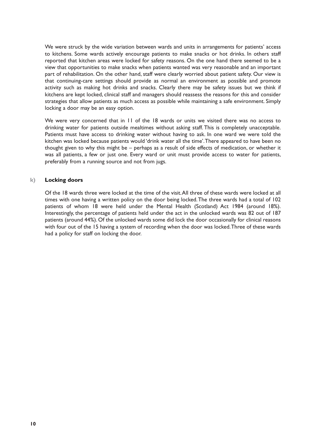We were struck by the wide variation between wards and units in arrangements for patients' access to kitchens. Some wards actively encourage patients to make snacks or hot drinks. In others staff reported that kitchen areas were locked for safety reasons. On the one hand there seemed to be a view that opportunities to make snacks when patients wanted was very reasonable and an important part of rehabilitation. On the other hand, staff were clearly worried about patient safety. Our view is that continuing-care settings should provide as normal an environment as possible and promote activity such as making hot drinks and snacks. Clearly there may be safety issues but we think if kitchens are kept locked, clinical staff and managers should reassess the reasons for this and consider strategies that allow patients as much access as possible while maintaining a safe environment. Simply locking a door may be an easy option.

We were very concerned that in 11 of the 18 wards or units we visited there was no access to drinking water for patients outside mealtimes without asking staff. This is completely unacceptable. Patients must have access to drinking water without having to ask. In one ward we were told the kitchen was locked because patients would 'drink water all the time'.There appeared to have been no thought given to why this might be – perhaps as a result of side effects of medication, or whether it was all patients, a few or just one. Every ward or unit must provide access to water for patients, preferably from a running source and not from jugs.

#### **k) Locking doors**

Of the 18 wards three were locked at the time of the visit.All three of these wards were locked at all times with one having a written policy on the door being locked.The three wards had a total of 102 patients of whom 18 were held under the Mental Health (Scotland) Act 1984 (around 18%). Interestingly, the percentage of patients held under the act in the unlocked wards was 82 out of 187 patients (around 44%). Of the unlocked wards some did lock the door occasionally for clinical reasons with four out of the 15 having a system of recording when the door was locked.Three of these wards had a policy for staff on locking the door.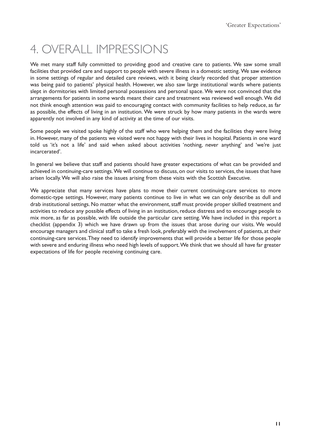## 4. OVERALL IMPRESSIONS

We met many staff fully committed to providing good and creative care to patients. We saw some small facilities that provided care and support to people with severe illness in a domestic setting. We saw evidence in some settings of regular and detailed care reviews, with it being clearly recorded that proper attention was being paid to patients' physical health. However, we also saw large institutional wards where patients slept in dormitories with limited personal possessions and personal space. We were not convinced that the arrangements for patients in some wards meant their care and treatment was reviewed well enough. We did not think enough attention was paid to encouraging contact with community facilities to help reduce, as far as possible, the effects of living in an institution. We were struck by how many patients in the wards were apparently not involved in any kind of activity at the time of our visits.

Some people we visited spoke highly of the staff who were helping them and the facilities they were living in. However, many of the patients we visited were not happy with their lives in hospital. Patients in one ward told us 'it's not a life' and said when asked about activities 'nothing, never anything' and 'we're just incarcerated'.

In general we believe that staff and patients should have greater expectations of what can be provided and achieved in continuing-care settings.We will continue to discuss, on our visits to services, the issues that have arisen locally.We will also raise the issues arising from these visits with the Scottish Executive.

We appreciate that many services have plans to move their current continuing-care services to more domestic-type settings. However, many patients continue to live in what we can only describe as dull and drab institutional settings. No matter what the environment, staff must provide proper skilled treatment and activities to reduce any possible effects of living in an institution, reduce distress and to encourage people to mix more, as far as possible, with life outside the particular care setting. We have included in this report a checklist (appendix 3) which we have drawn up from the issues that arose during our visits. We would encourage managers and clinical staff to take a fresh look, preferably with the involvement of patients, at their continuing-care services.They need to identify improvements that will provide a better life for those people with severe and enduring illness who need high levels of support.We think that we should all have far greater expectations of life for people receiving continuing care.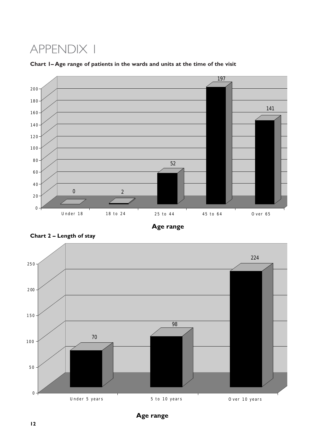### APPENDIX 1



**Chart 1– Age range of patients in the wards and units at the time of the visit**

**Age range**



**Chart 2 – Length of stay**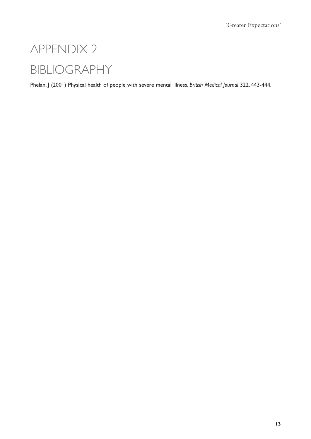# APPENDIX 2 BIBLIOGRAPHY

Phelan, J (2001) Physical health of people with severe mental illness. *British Medical Journal* 322, 443-444.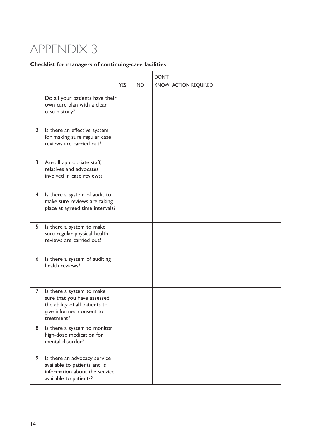### APPENDIX 3

### **Checklist for managers of continuing-care facilities**

|                |                                                                                                                                      | <b>YES</b> | <b>NO</b> | DON'T | KNOW ACTION REQUIRED |
|----------------|--------------------------------------------------------------------------------------------------------------------------------------|------------|-----------|-------|----------------------|
| I              | Do all your patients have their<br>own care plan with a clear<br>case history?                                                       |            |           |       |                      |
| $\overline{2}$ | Is there an effective system<br>for making sure regular case<br>reviews are carried out?                                             |            |           |       |                      |
| 3              | Are all appropriate staff,<br>relatives and advocates<br>involved in case reviews?                                                   |            |           |       |                      |
| $\overline{4}$ | Is there a system of audit to<br>make sure reviews are taking<br>place at agreed time intervals?                                     |            |           |       |                      |
| 5              | Is there a system to make<br>sure regular physical health<br>reviews are carried out?                                                |            |           |       |                      |
| 6              | Is there a system of auditing<br>health reviews?                                                                                     |            |           |       |                      |
| $\overline{7}$ | Is there a system to make<br>sure that you have assessed<br>the ability of all patients to<br>give informed consent to<br>treatment? |            |           |       |                      |
| 8              | Is there a system to monitor<br>high-dose medication for<br>mental disorder?                                                         |            |           |       |                      |
| 9              | Is there an advocacy service<br>available to patients and is<br>information about the service<br>available to patients?              |            |           |       |                      |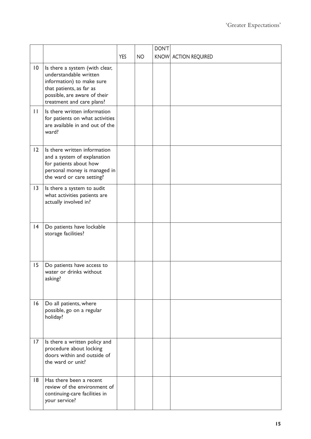|                 |                                                                                                                                                                                |            |           | DON'T |                      |
|-----------------|--------------------------------------------------------------------------------------------------------------------------------------------------------------------------------|------------|-----------|-------|----------------------|
|                 |                                                                                                                                                                                | <b>YES</b> | <b>NO</b> |       | KNOW ACTION REQUIRED |
| $\overline{10}$ | Is there a system (with clear,<br>understandable written<br>information) to make sure<br>that patients, as far as<br>possible, are aware of their<br>treatment and care plans? |            |           |       |                      |
| $\mathbf{H}$    | Is there written information<br>for patients on what activities<br>are available in and out of the<br>ward?                                                                    |            |           |       |                      |
| 12              | Is there written information<br>and a system of explanation<br>for patients about how<br>personal money is managed in<br>the ward or care setting?                             |            |           |       |                      |
| 3               | Is there a system to audit<br>what activities patients are<br>actually involved in?                                                                                            |            |           |       |                      |
| 4               | Do patients have lockable<br>storage facilities?                                                                                                                               |            |           |       |                      |
| 15              | Do patients have access to<br>water or drinks without<br>asking?                                                                                                               |            |           |       |                      |
| 16              | Do all patients, where<br>possible, go on a regular<br>holiday?                                                                                                                |            |           |       |                      |
| 17              | Is there a written policy and<br>procedure about locking<br>doors within and outside of<br>the ward or unit?                                                                   |            |           |       |                      |
| 8               | Has there been a recent<br>review of the environment of<br>continuing-care facilities in<br>your service?                                                                      |            |           |       |                      |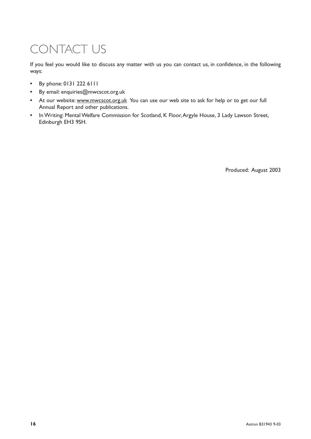### CONTACT US

If you feel you would like to discuss any matter with us you can contact us, in confidence, in the following ways:

- By phone: 0131 222 6111
- By email: enquiries@mwcscot.org.uk
- At our website: www.mwcscot.org.uk You can use our web site to ask for help or to get our full Annual Report and other publications.
- In Writing: Mental Welfare Commission for Scotland, K Floor, Argyle House, 3 Lady Lawson Street, Edinburgh EH3 9SH.

Produced: August 2003